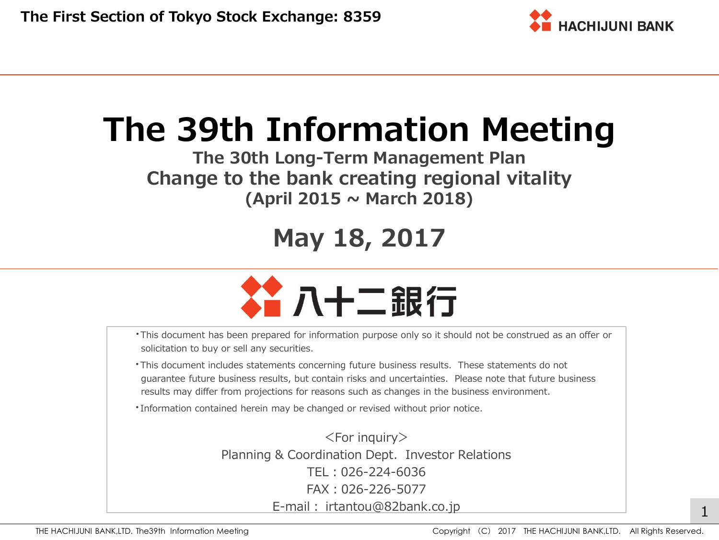

# **The 39th Information Meeting**

**The 30th Long-Term Management Plan Change to the bank creating regional vitality (April 2015 ~ March 2018)**

# **May 18, 2017**



- ・This document has been prepared for information purpose only so it should not be construed as an offer or solicitation to buy or sell any securities.
- ・This document includes statements concerning future business results. These statements do not guarantee future business results, but contain risks and uncertainties. Please note that future business results may differ from projections for reasons such as changes in the business environment.
- ・Information contained herein may be changed or revised without prior notice.

 $<$ For inquiry $>$ Planning & Coordination Dept. Investor Relations TEL:026-224-6036 FAX:026-226-5077 E-mail: irtantou@82bank.co.jp 1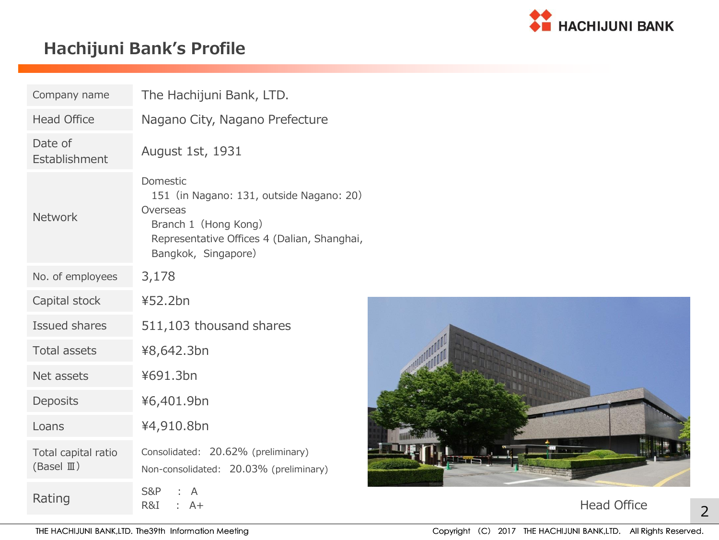

# **Hachijuni Bank's Profile**

| Company name                                | The Hachijuni Bank, LTD.                                                                                                                                       |                    |
|---------------------------------------------|----------------------------------------------------------------------------------------------------------------------------------------------------------------|--------------------|
| <b>Head Office</b>                          | Nagano City, Nagano Prefecture                                                                                                                                 |                    |
| Date of<br>Establishment                    | August 1st, 1931                                                                                                                                               |                    |
| Network                                     | Domestic<br>151 (in Nagano: 131, outside Nagano: 20)<br>Overseas<br>Branch 1 (Hong Kong)<br>Representative Offices 4 (Dalian, Shanghai,<br>Bangkok, Singapore) |                    |
| No. of employees                            | 3,178                                                                                                                                                          |                    |
| Capital stock                               | 452.2bn                                                                                                                                                        |                    |
| Issued shares                               | 511,103 thousand shares                                                                                                                                        |                    |
| Total assets                                | ¥8,642.3bn                                                                                                                                                     |                    |
| Net assets                                  | ¥691.3bn                                                                                                                                                       |                    |
| Deposits                                    | ¥6,401.9bn                                                                                                                                                     |                    |
| Loans                                       | ¥4,910.8bn                                                                                                                                                     |                    |
| Total capital ratio<br>$(BaseI \mathbb{I})$ | Consolidated: 20.62% (preliminary)<br>Non-consolidated: 20.03% (preliminary)                                                                                   |                    |
| Rating                                      | <b>S&amp;P</b><br>A<br>R&I<br>: A+                                                                                                                             | <b>Head Office</b> |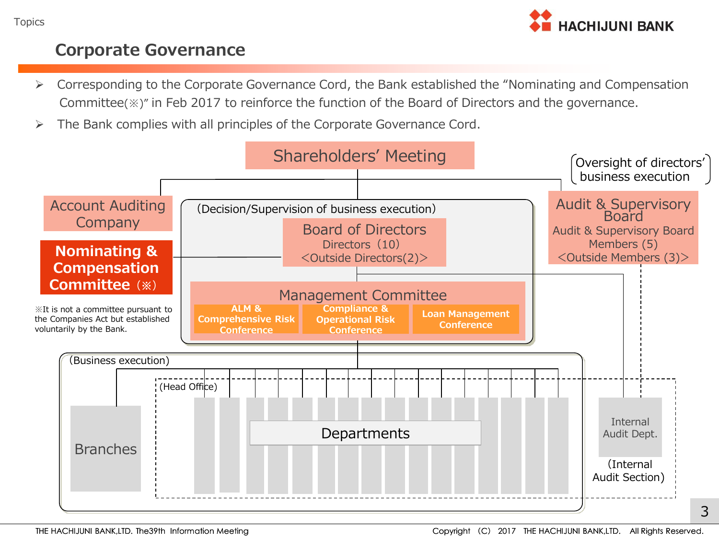

#### **Corporate Governance**

- Corresponding to the Corporate Governance Cord, the Bank established the "Nominating and Compensation Committee(※)" in Feb 2017 to reinforce the function of the Board of Directors and the governance.
- $\triangleright$  The Bank complies with all principles of the Corporate Governance Cord.

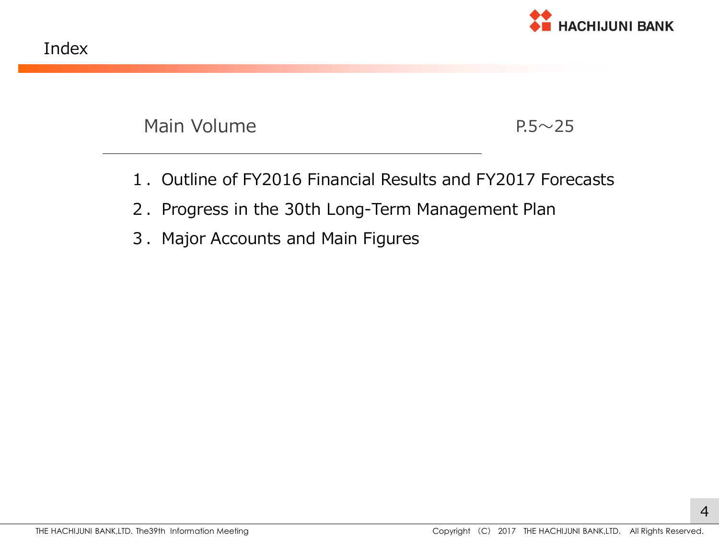

Main Volume  $P.5 \sim 25$ 

- 1.Outline of FY2016 Financial Results and FY2017 Forecasts
- 2. Progress in the 30th Long-Term Management Plan
- 3. Major Accounts and Main Figures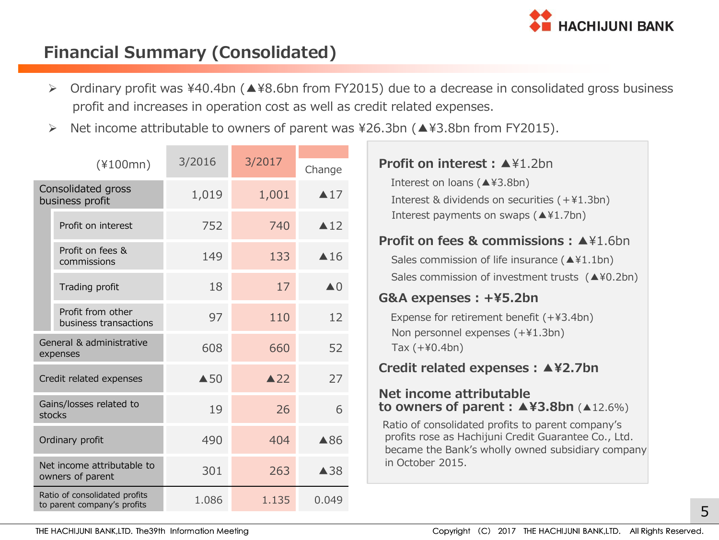

# **Financial Summary (Consolidated)**

- Ordinary profit was ¥40.4bn (▲¥8.6bn from FY2015) due to a decrease in consolidated gross business profit and increases in operation cost as well as credit related expenses.
- Net income attributable to owners of parent was ¥26.3bn (▲¥3.8bn from FY2015).

|                                                | $(*100mn)$                                                   | 3/2016         | 3/2017         | Change                   | <b>Profit on interest : ▲</b> ¥1.2bn                                                                                                                           |
|------------------------------------------------|--------------------------------------------------------------|----------------|----------------|--------------------------|----------------------------------------------------------------------------------------------------------------------------------------------------------------|
| Consolidated gross<br>business profit          |                                                              | 1,019          | 1,001          | $\triangle 17$           | Interest on loans (▲¥3.8bn)<br>Interest & dividends on securities (+¥1.3bn)                                                                                    |
|                                                | Profit on interest                                           | 752            | 740            | $\triangle 12$           | Interest payments on swaps $(44.7bn)$<br><b>Profit on fees &amp; commissions: <math>\blacktriangle</math></b> \\\ifta>1.6bn                                    |
|                                                | Profit on fees &<br>commissions                              | 149            | 133            | $\triangle$ 16           | Sales commission of life insurance ( $\triangle$ ¥1.1bn)                                                                                                       |
|                                                | Trading profit                                               | 18             | 17             | $\triangle$ <sup>0</sup> | Sales commission of investment trusts $(440.2bn)$<br>G&A expenses: +¥5.2bn                                                                                     |
|                                                | Profit from other<br>business transactions                   | 97             | 110            | 12                       | Expense for retirement benefit (+¥3.4bn)<br>Non personnel expenses (+¥1.3bn)                                                                                   |
|                                                | General & administrative<br>expenses                         | 608            | 660            | 52                       | Tax $(+40.4bn)$                                                                                                                                                |
|                                                | Credit related expenses                                      | $\triangle$ 50 | $\triangle$ 22 | 27                       | Credit related expenses : ▲¥2.7bn                                                                                                                              |
|                                                | Gains/losses related to<br>stocks                            | 19             | 26             | 6                        | Net income attributable<br>to owners of parent : $\triangle$ ¥3.8bn ( $\triangle$ 12.6%)                                                                       |
|                                                | Ordinary profit                                              | 490            | 404            | ▲86                      | Ratio of consolidated profits to parent company's<br>profits rose as Hachijuni Credit Guarantee Co., Ltd.<br>became the Bank's wholly owned subsidiary company |
| Net income attributable to<br>owners of parent |                                                              | 301            | 263            | $\triangle$ 38           | in October 2015.                                                                                                                                               |
|                                                | Ratio of consolidated profits<br>to parent company's profits | 1.086          | 1.135          | 0.049                    |                                                                                                                                                                |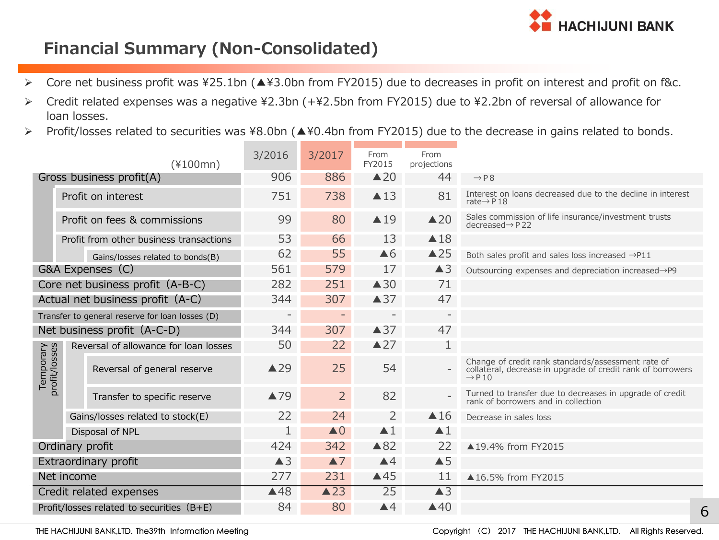

# **Financial Summary (Non-Consolidated)**

- Core net business profit was ¥25.1bn (▲¥3.0bn from FY2015) due to decreases in profit on interest and profit on f&c.
- Credit related expenses was a negative ¥2.3bn (+¥2.5bn from FY2015) due to ¥2.2bn of reversal of allowance for loan losses.
- Profit/losses related to securities was ¥8.0bn (▲¥0.4bn from FY2015) due to the decrease in gains related to bonds.

| $(*100mn)$                                      |  |                                           | 3/2016                   | 3/2017                   | From<br>FY2015           | From<br>projections      |                                                                                                                                         |
|-------------------------------------------------|--|-------------------------------------------|--------------------------|--------------------------|--------------------------|--------------------------|-----------------------------------------------------------------------------------------------------------------------------------------|
|                                                 |  | Gross business profit(A)                  | 906                      | 886                      | $\triangle$ 20           | 44                       | $\rightarrow$ P 8                                                                                                                       |
|                                                 |  | Profit on interest                        | 751                      | 738                      | $\triangle$ 13           | 81                       | Interest on loans decreased due to the decline in interest<br>rate $\rightarrow$ P 18                                                   |
|                                                 |  | Profit on fees & commissions              | 99                       | 80                       | $\triangle$ 19           | $\triangle 20$           | Sales commission of life insurance/investment trusts<br>$decreased \rightarrow P$ 22                                                    |
|                                                 |  | Profit from other business transactions   | 53                       | 66                       | 13                       | $\triangle$ 18           |                                                                                                                                         |
|                                                 |  | Gains/losses related to bonds(B)          | 62                       | 55                       | $\triangle 6$            | $\triangle$ 25           | Both sales profit and sales loss increased $\rightarrow$ P11                                                                            |
|                                                 |  | G&A Expenses (C)                          | 561                      | 579                      | 17                       | $\triangle 3$            | Outsourcing expenses and depreciation increased→P9                                                                                      |
| Core net business profit (A-B-C)                |  |                                           | 282                      | 251                      | $\triangle$ 30           | 71                       |                                                                                                                                         |
| Actual net business profit (A-C)                |  |                                           | 344                      | 307                      | $\triangle$ 37           | 47                       |                                                                                                                                         |
| Transfer to general reserve for loan losses (D) |  |                                           | $\overline{\phantom{a}}$ | $\overline{\phantom{a}}$ | $\overline{\phantom{a}}$ | $\overline{\phantom{a}}$ |                                                                                                                                         |
| Net business profit (A-C-D)                     |  |                                           | 344                      | 307                      | $\triangle$ 37           | 47                       |                                                                                                                                         |
|                                                 |  | Reversal of allowance for loan losses     | 50                       | 22                       | $\triangle$ 27           | 1                        |                                                                                                                                         |
| Temporary<br>profit/losses                      |  | Reversal of general reserve               | $\triangle$ 29           | 25                       | 54                       |                          | Change of credit rank standards/assessment rate of<br>collateral, decrease in upgrade of credit rank of borrowers<br>$\rightarrow$ P 10 |
|                                                 |  | Transfer to specific reserve              | ▲79                      | $\overline{2}$           | 82                       |                          | Turned to transfer due to decreases in upgrade of credit<br>rank of borrowers and in collection                                         |
|                                                 |  | Gains/losses related to stock(E)          | 22                       | 24                       | 2                        | $\triangle$ 16           | Decrease in sales loss                                                                                                                  |
|                                                 |  | Disposal of NPL                           | 1                        | $\triangle$ 0            | $\blacktriangle$ 1       | $\blacktriangle$ 1       |                                                                                                                                         |
|                                                 |  | Ordinary profit                           | 424                      | 342                      | $\triangle 82$           | 22                       | ▲19.4% from FY2015                                                                                                                      |
|                                                 |  | Extraordinary profit                      | $\triangle$ 3            | $\blacktriangle$ 7       | $\blacktriangle 4$       | $\triangle$ 5            |                                                                                                                                         |
| Net income                                      |  |                                           | 277                      | 231                      | $\triangle$ 45           | 11                       | ▲16.5% from FY2015                                                                                                                      |
|                                                 |  | Credit related expenses                   | $\triangle$ 48           | $\triangle$ 23           | 25                       | $\triangle$ 3            |                                                                                                                                         |
|                                                 |  | Profit/losses related to securities (B+E) | 84                       | 80                       | $\triangle 4$            | $\triangle$ 40           | 6                                                                                                                                       |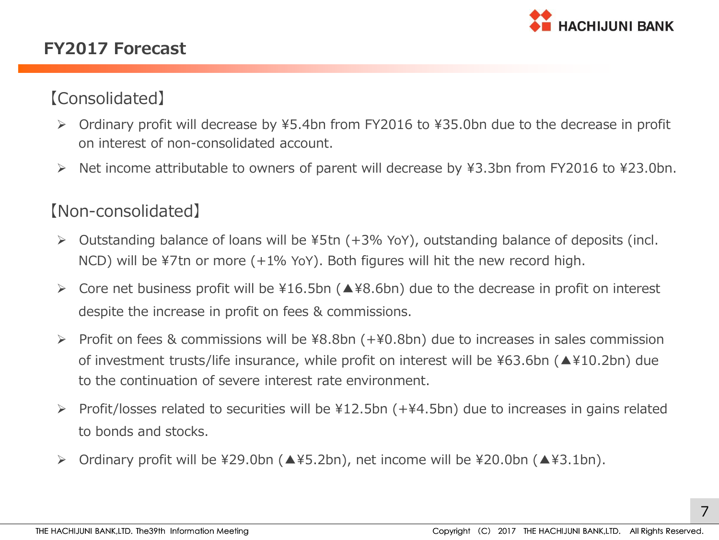

### **FY2017 Forecast**

# 【Consolidated】

- Ordinary profit will decrease by ¥5.4bn from FY2016 to ¥35.0bn due to the decrease in profit on interest of non-consolidated account.
- Net income attributable to owners of parent will decrease by ¥3.3bn from FY2016 to ¥23.0bn.

#### 【Non-consolidated】

- Outstanding balance of loans will be ¥5tn (+3% YoY), outstanding balance of deposits (incl. NCD) will be ¥7tn or more (+1% YoY). Both figures will hit the new record high.
- Core net business profit will be ¥16.5bn (▲¥8.6bn) due to the decrease in profit on interest despite the increase in profit on fees & commissions.
- Profit on fees & commissions will be ¥8.8bn (+¥0.8bn) due to increases in sales commission of investment trusts/life insurance, while profit on interest will be ¥63.6bn (▲¥10.2bn) due to the continuation of severe interest rate environment.
- Profit/losses related to securities will be ¥12.5bn (+¥4.5bn) due to increases in gains related to bonds and stocks.
- Ordinary profit will be ¥29.0bn (▲¥5.2bn), net income will be ¥20.0bn (▲¥3.1bn).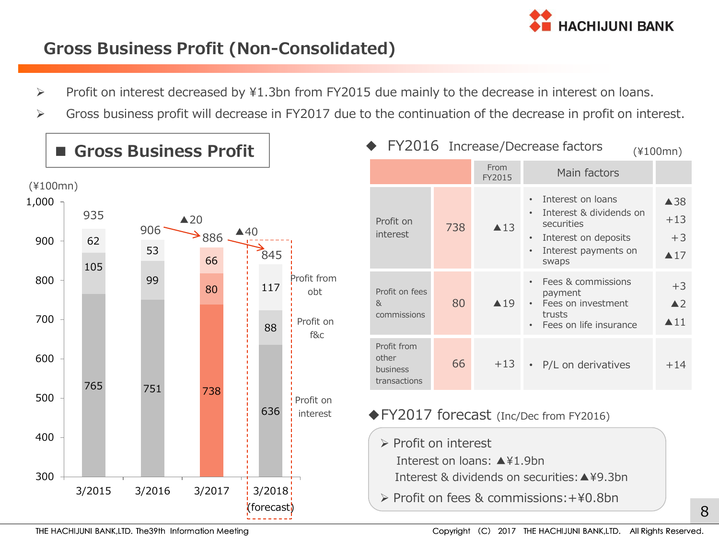

# **Gross Business Profit (Non-Consolidated)**

- Profit on interest decreased by ¥1.3bn from FY2015 due mainly to the decrease in interest on loans.
- Gross business profit will decrease in FY2017 due to the continuation of the decrease in profit on interest.



■ Gross Business Profit

| FY2016 Increase/Decrease factors<br>$(*100mn)$ |                                                |     |                |                                                                                                                                                                         |                                                        |  |  |  |
|------------------------------------------------|------------------------------------------------|-----|----------------|-------------------------------------------------------------------------------------------------------------------------------------------------------------------------|--------------------------------------------------------|--|--|--|
|                                                |                                                |     | From<br>FY2015 | Main factors                                                                                                                                                            |                                                        |  |  |  |
|                                                | Profit on<br>interest                          | 738 | $\triangle$ 13 | Interest on loans<br>$\bullet$<br>Interest & dividends on<br>$\bullet$<br>securities<br>Interest on deposits<br>$\bullet$<br>Interest payments on<br>$\bullet$<br>swaps | $\triangle$ 38<br>$+13$<br>$+3$<br>$\blacktriangle$ 17 |  |  |  |
| 8 <sub>k</sub>                                 | Profit on fees<br>commissions                  | 80  | $\triangle$ 19 | Fees & commissions<br>$\bullet$<br>payment<br>Fees on investment<br>$\bullet$<br>trusts<br>Fees on life insurance<br>$\bullet$                                          | $+3$<br>$\blacktriangle$ 2<br>$\blacktriangle$ 11      |  |  |  |
| other                                          | Profit from<br><b>business</b><br>transactions | 66  | $+13$          | • P/L on derivatives                                                                                                                                                    | $+14$                                                  |  |  |  |

#### ◆FY2017 forecast (Inc/Dec from FY2016)

 $\triangleright$  Profit on interest

 $\overline{a}$ 

Interest on loans: ▲¥1.9bn

Interest & dividends on securities:▲¥9.3bn

Profit on fees & commissions:+¥0.8bn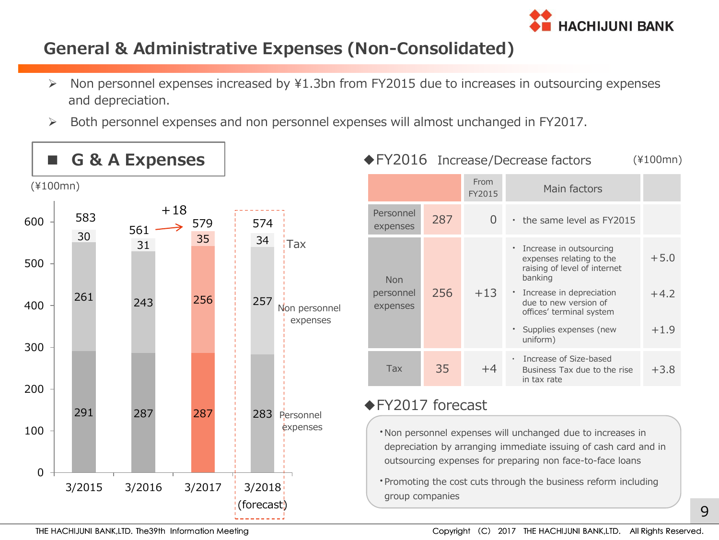

#### **General & Administrative Expenses (Non-Consolidated)**

- $\triangleright$  Non personnel expenses increased by ¥1.3bn from FY2015 due to increases in outsourcing expenses and depreciation.
- Both personnel expenses and non personnel expenses will almost unchanged in FY2017.



| G & A Expenses |           |     |              |     |                           |                       |     | ◆ FY2016 Increase/Decrease factors   | (¥100mn)                                                                                         |        |
|----------------|-----------|-----|--------------|-----|---------------------------|-----------------------|-----|--------------------------------------|--------------------------------------------------------------------------------------------------|--------|
|                | 00mn)     |     |              |     |                           |                       |     | From<br>FY2015                       | Main factors                                                                                     |        |
|                | 583<br>30 | 561 | $+18$<br>579 | 574 |                           | Personnel<br>expenses | 287 | $\overline{0}$                       | • the same level as FY2015                                                                       |        |
|                |           | 31  | 35           | 34  | <b>Tax</b>                | <b>Non</b>            |     |                                      | • Increase in outsourcing<br>expenses relating to the<br>raising of level of internet<br>banking | $+5.0$ |
|                | 261       | 243 | 256          | 257 | Non personnel<br>expenses | personnel<br>expenses | 256 | $+13$                                | • Increase in depreciation<br>due to new version of<br>offices' terminal system                  | $+4.2$ |
|                |           |     |              |     |                           |                       |     | · Supplies expenses (new<br>uniform) | $+1.9$                                                                                           |        |
|                |           |     |              |     |                           | <b>Tax</b>            | 35  | $+4$                                 | · Increase of Size-based<br>Business Tax due to the rise<br>in tax rate                          | $+3.8$ |

#### ◆FY2017 forecast

- ・Non personnel expenses will unchanged due to increases in depreciation by arranging immediate issuing of cash card and in outsourcing expenses for preparing non face-to-face loans
- ・Promoting the cost cuts through the business reform including group companies

 $\mathsf{q}$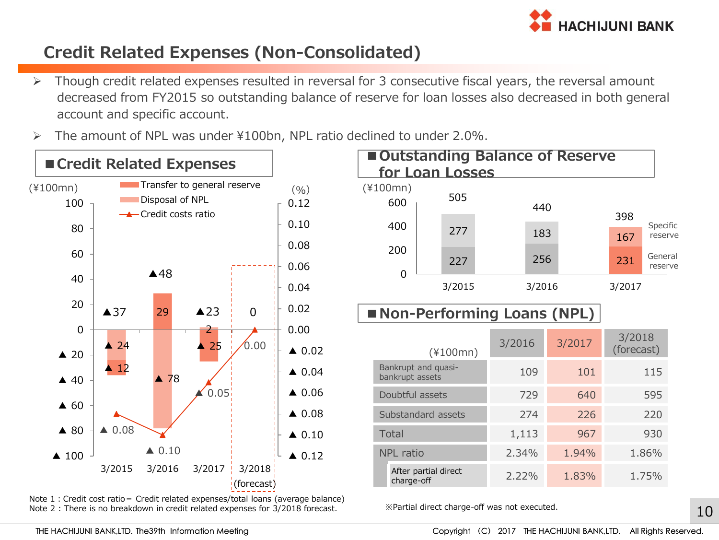

# **Credit Related Expenses (Non-Consolidated)**

- $\triangleright$  Though credit related expenses resulted in reversal for 3 consecutive fiscal years, the reversal amount decreased from FY2015 so outstanding balance of reserve for loan losses also decreased in both general account and specific account.
- $\triangleright$  The amount of NPL was under ¥100bn, NPL ratio declined to under 2.0%.



Note 1:Credit cost ratio= Credit related expenses/total loans (average balance) Note 2 : There is no breakdown in credit related expenses for 3/2018 forecast.



|       | (¥IUUMN)                               |       |       | $101$ CCCJ |  |
|-------|----------------------------------------|-------|-------|------------|--|
|       | Bankrupt and quasi-<br>bankrupt assets | 109   | 101   | 115        |  |
|       | Doubtful assets                        | 729   | 640   | 595        |  |
|       | Substandard assets                     | 274   | 226   | 220        |  |
| Total |                                        | 1,113 | 967   | 930        |  |
|       | <b>NPL</b> ratio                       | 2.34% | 1.94% | 1.86%      |  |
|       | After partial direct<br>charge-off     | 2.22% | 1.83% | 1.75%      |  |
|       |                                        |       |       |            |  |

※Partial direct charge-off was not executed.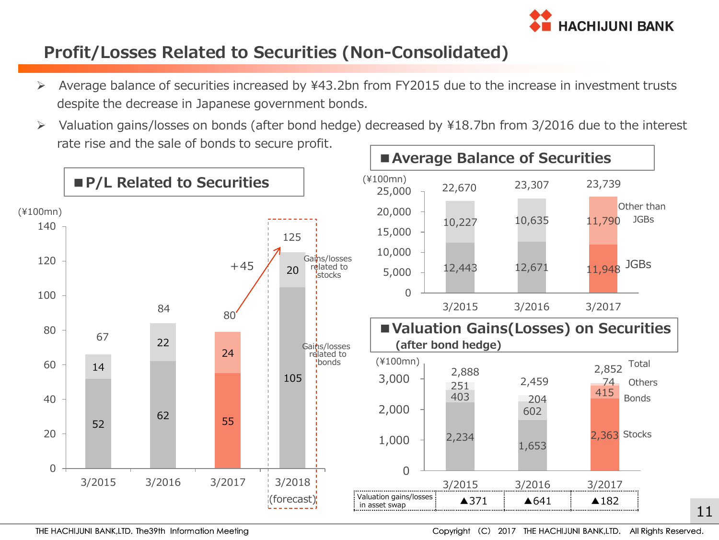

## **Profit/Losses Related to Securities (Non-Consolidated)**

- Average balance of securities increased by ¥43.2bn from FY2015 due to the increase in investment trusts despite the decrease in Japanese government bonds.
- Valuation gains/losses on bonds (after bond hedge) decreased by ¥18.7bn from 3/2016 due to the interest rate rise and the sale of bonds to secure profit.

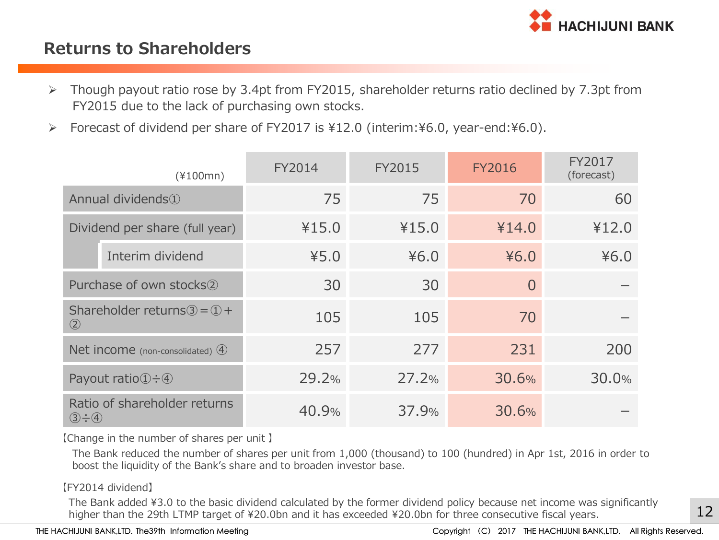

#### **Returns to Shareholders**

- FY2015 due to the lack of purchasing own stocks.
- Forecast of dividend per share of FY2017 is ¥12.0 (interim:¥6.0, year-end:¥6.0).

| $\blacktriangleright$ | Though payout ratio rose by 3.4pt from FY2015, shareholder returns ratio declined by 7.3pt from<br>FY2015 due to the lack of purchasing own stocks.                                                                                                      |        |               |               |                      |  |  |  |  |  |
|-----------------------|----------------------------------------------------------------------------------------------------------------------------------------------------------------------------------------------------------------------------------------------------------|--------|---------------|---------------|----------------------|--|--|--|--|--|
| $\blacktriangleright$ | Forecast of dividend per share of FY2017 is ¥12.0 (interim:¥6.0, year-end:¥6.0).                                                                                                                                                                         |        |               |               |                      |  |  |  |  |  |
|                       | $(*100mn)$                                                                                                                                                                                                                                               | FY2014 | <b>FY2015</b> | <b>FY2016</b> | FY2017<br>(forecast) |  |  |  |  |  |
|                       | Annual dividends <sup>1</sup>                                                                                                                                                                                                                            | 75     | 75            | 70            | 60                   |  |  |  |  |  |
|                       | Dividend per share (full year)                                                                                                                                                                                                                           | ¥15.0  | ¥15.0         | ¥14.0         | ¥12.0                |  |  |  |  |  |
|                       | Interim dividend                                                                                                                                                                                                                                         | 45.0   | 46.0          | ¥6.0          | 46.0                 |  |  |  |  |  |
|                       | Purchase of own stocks <sup>(2)</sup>                                                                                                                                                                                                                    | 30     | 30            | $\Omega$      |                      |  |  |  |  |  |
|                       | Shareholder returns $\textcircled{3} = \textcircled{1} +$<br>$\circled{2}$                                                                                                                                                                               | 105    | 105           | 70            |                      |  |  |  |  |  |
|                       | Net income (non-consolidated) (4)                                                                                                                                                                                                                        | 257    | 277           | 231           | 200                  |  |  |  |  |  |
|                       | Payout ratio $\textcircled{1} \div \textcircled{4}$                                                                                                                                                                                                      | 29.2%  | 27.2%         | 30.6%         | 30.0%                |  |  |  |  |  |
|                       | Ratio of shareholder returns<br>$(3 - 4)$                                                                                                                                                                                                                | 40.9%  | 37.9%         | 30.6%         |                      |  |  |  |  |  |
|                       | [Change in the number of shares per unit ]<br>The Bank reduced the number of shares per unit from 1,000 (thousand) to 100 (hundred) in Apr 1st, 2016 in order to<br>boost the liquidity of the Bank's share and to broaden investor base.                |        |               |               |                      |  |  |  |  |  |
|                       | [FY2014 dividend]<br>The Bank added ¥3.0 to the basic dividend calculated by the former dividend policy because net income was significan<br>higher than the 29th LTMP target of ¥20.0bn and it has exceeded ¥20.0bn for three consecutive fiscal years. |        |               |               |                      |  |  |  |  |  |

#### 【FY2014 dividend】

The Bank added ¥3.0 to the basic dividend calculated by the former dividend policy because net income was significantly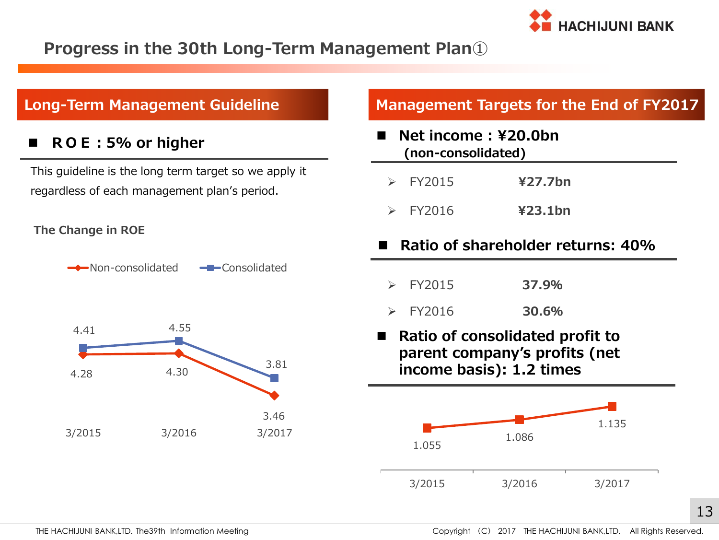

### **Progress in the 30th Long-Term Management Plan**①

#### **ROE:5% or higher**

This guideline is the long term target so we apply it regardless of each management plan's period.

#### **The Change in ROE**





#### **Long-Term Management Guideline Management Targets for the End of FY2017**

- **Net income : ¥20.0bn (non-consolidated)**
	- FY2015 **¥27.7bn**
	- FY2016 **¥23.1bn**
- **Ratio of shareholder returns: 40%**
	- FY2015 **37.9%**
	- FY2016 **30.6%**
- **Ratio of consolidated profit to parent company's profits (net income basis): 1.2 times**

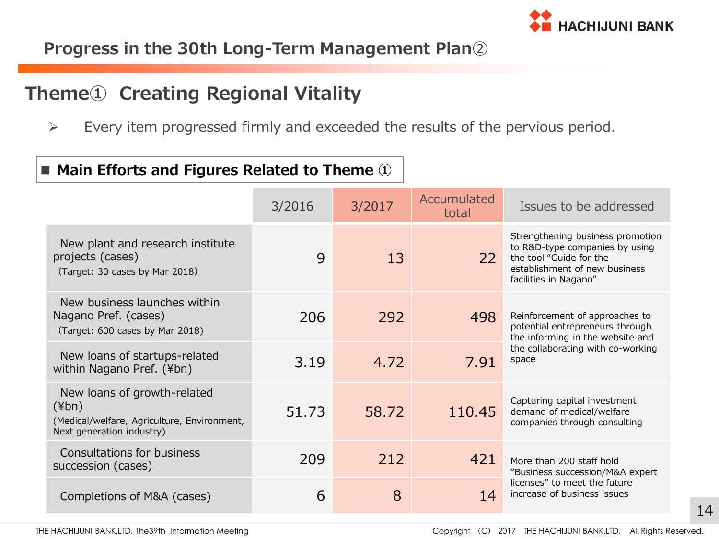

# **Progress in the 30th Long-Term Management Plan**②

# **Theme① Creating Regional Vitality**

 $\triangleright$  Every item progressed firmly and exceeded the results of the pervious period.

#### ■ **Main Efforts and Figures Related to Theme** ①

|                                                                                                                        | 3/2016 | 3/2017 | Accumulated<br>total | Issues to be addressed                                                                                                                                  |
|------------------------------------------------------------------------------------------------------------------------|--------|--------|----------------------|---------------------------------------------------------------------------------------------------------------------------------------------------------|
| New plant and research institute<br>projects (cases)<br>(Target: 30 cases by Mar 2018)                                 | 9      | 13     | 22                   | Strengthening business promotion<br>to R&D-type companies by using<br>the tool "Guide for the<br>establishment of new business<br>facilities in Nagano" |
| New business launches within<br>Nagano Pref. (cases)<br>(Target: 600 cases by Mar 2018)                                | 206    | 292    | 498                  | Reinforcement of approaches to<br>potential entrepreneurs through<br>the informing in the website and                                                   |
| New loans of startups-related<br>within Nagano Pref. (¥bn)                                                             | 3.19   | 4.72   | 7.91                 | the collaborating with co-working<br>space                                                                                                              |
| New loans of growth-related<br>$(\n{Fbn})$<br>(Medical/welfare, Agriculture, Environment,<br>Next generation industry) | 51.73  | 58.72  | 110.45               | Capturing capital investment<br>demand of medical/welfare<br>companies through consulting                                                               |
| Consultations for business<br>succession (cases)                                                                       | 209    | 212    | 421                  | More than 200 staff hold<br>"Business succession/M&A expert                                                                                             |
| Completions of M&A (cases)                                                                                             | 6      | 8      | 14                   | licenses" to meet the future<br>increase of business issues                                                                                             |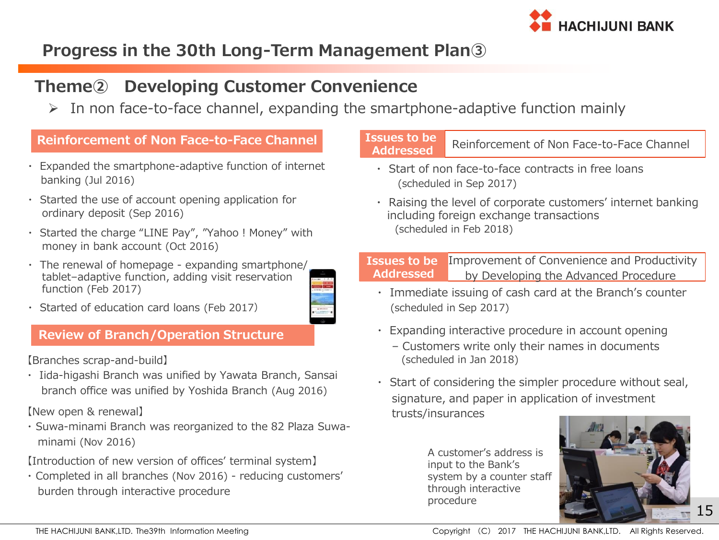

# **Progress in the 30th Long-Term Management Plan③**

#### **Theme② Developing Customer Convenience**

 $\triangleright$  In non face-to-face channel, expanding the smartphone-adaptive function mainly

#### **Reinforcement of Non Face-to-Face Channel**

- ・ Expanded the smartphone-adaptive function of internet banking (Jul 2016)
- ・ Started the use of account opening application for ordinary deposit (Sep 2016)
- Started the charge "LINE Pay", "Yahoo ! Money" with money in bank account (Oct 2016)
- ・ The renewal of homepage expanding smartphone/ tablet–adaptive function, adding visit reservation function (Feb 2017)



・ Started of education card loans (Feb 2017)

#### **Review of Branch/Operation Structure**

【Branches scrap-and-build】

・ Iida-higashi Branch was unified by Yawata Branch, Sansai branch office was unified by Yoshida Branch (Aug 2016)

【New open & renewal】

・ Suwa-minami Branch was reorganized to the 82 Plaza Suwa minami (Nov 2016)

【Introduction of new version of offices' terminal system】

・ Completed in all branches (Nov 2016) - reducing customers' burden through interactive procedure

#### **Issues to be** Reinforcement of Non Face-to-Face Channel **Addressed**

- ・ Start of non face-to-face contracts in free loans (scheduled in Sep 2017)
- ・ Raising the level of corporate customers' internet banking including foreign exchange transactions (scheduled in Feb 2018)

Improvement of Convenience and Productivity by Developing the Advanced Procedure **Issues to be Addressed**

- ・ Immediate issuing of cash card at the Branch's counter (scheduled in Sep 2017)
- ・ Expanding interactive procedure in account opening
	- Customers write only their names in documents (scheduled in Jan 2018)
- ・ Start of considering the simpler procedure without seal, signature, and paper in application of investment trusts/insurances

A customer's address is input to the Bank's system by a counter staff through interactive procedure

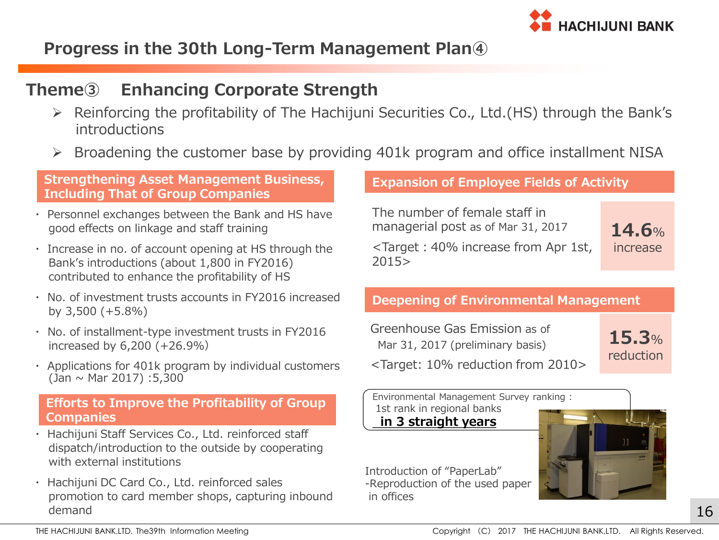

# **Progress in the 30th Long-Term Management Plan④**

#### **Theme③ Enhancing Corporate Strength**

- Reinforcing the profitability of The Hachijuni Securities Co., Ltd.(HS) through the Bank's introductions
- $\triangleright$  Broadening the customer base by providing 401k program and office installment NISA

2015>

#### **Strengthening Asset Management Business, Including That of Group Companies**

- ・ Personnel exchanges between the Bank and HS have good effects on linkage and staff training
- ・ Increase in no. of account opening at HS through the Bank's introductions (about 1,800 in FY2016) contributed to enhance the profitability of HS
- ・ No. of investment trusts accounts in FY2016 increased by 3,500 (+5.8%)
- ・ No. of installment-type investment trusts in FY2016 increased by 6,200 (+26.9%)
- ・ Applications for 401k program by individual customers  $(Jan \sim Mar 2017) : 5,300$

#### **Efforts to Improve the Profitability of Group Companies**

- ・ Hachijuni Staff Services Co., Ltd. reinforced staff dispatch/introduction to the outside by cooperating with external institutions
- ・ Hachijuni DC Card Co., Ltd. reinforced sales promotion to card member shops, capturing inbound demand

#### **Expansion of Employee Fields of Activity**

The number of female staff in managerial post as of Mar 31, 2017 <Target:40% increase from Apr 1st,

**14.6**% increase

#### **Deepening of Environmental Management**

| Greenhouse Gas Emission as of                           |           |
|---------------------------------------------------------|-----------|
| Mar 31, 2017 (preliminary basis)                        | 15.3%     |
| <target: 10%="" 2010="" from="" reduction=""></target:> | reduction |

Environmental Management Survey ranking : 1st rank in regional banks **in 3 straight years**



Introduction of "PaperLab" -Reproduction of the used paper in offices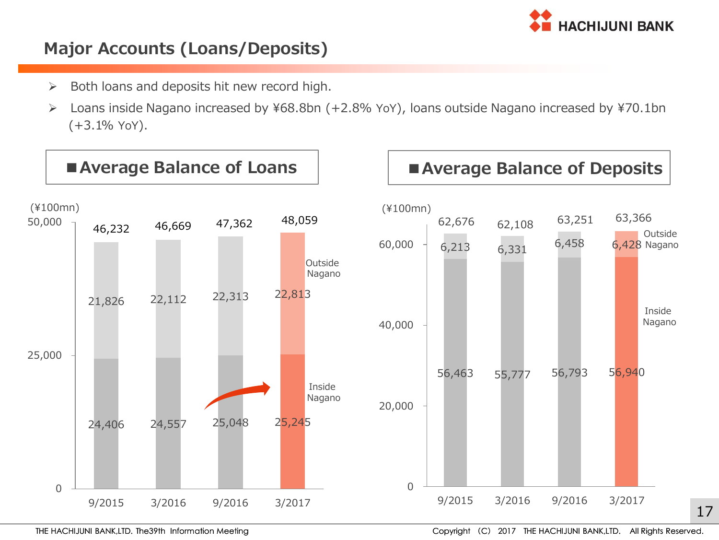

## **Major Accounts (Loans/Deposits)**

- $\triangleright$  Both loans and deposits hit new record high.
- Loans inside Nagano increased by ¥68.8bn (+2.8% YoY), loans outside Nagano increased by ¥70.1bn (+3.1% YoY).

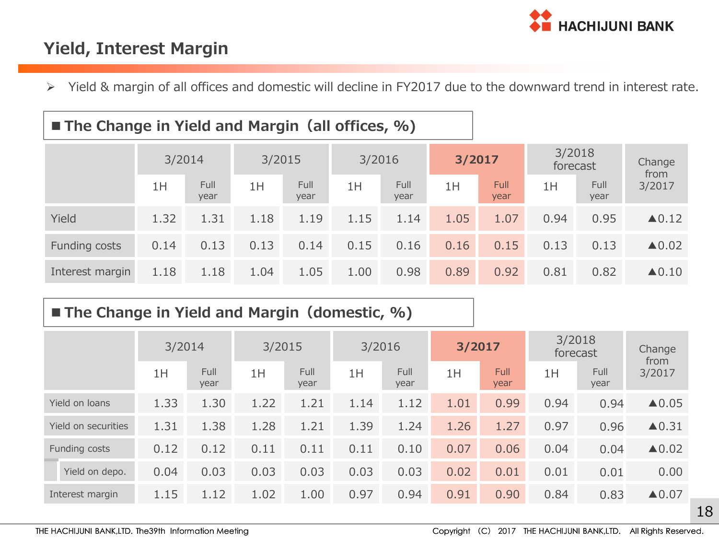

## **Yield, Interest Margin**

ı

Yield & margin of all offices and domestic will decline in FY2017 due to the downward trend in interest rate.

| ■ The Change in Yield and Margin (all offices, %) |  |  |  |
|---------------------------------------------------|--|--|--|
|---------------------------------------------------|--|--|--|

|                 | 3/2014 |              | 3/2015 |              | 3/2016 |              | 3/2017 |              | 3/2018<br>forecast |              | Change<br>from        |
|-----------------|--------|--------------|--------|--------------|--------|--------------|--------|--------------|--------------------|--------------|-----------------------|
|                 | 1H     | Full<br>year | 1H     | Full<br>year | 1H     | Full<br>year | 1H     | Full<br>year | 1H                 | Full<br>year | 3/2017                |
| Yield           | 1.32   | 1.31         | 1.18   | 1.19         | 1.15   | 1.14         | 1.05   | 1.07         | 0.94               | 0.95         | $\blacktriangle$ 0.12 |
| Funding costs   | 0.14   | 0.13         | 0.13   | 0.14         | 0.15   | 0.16         | 0.16   | 0.15         | 0.13               | 0.13         | $\triangle$ 0.02      |
| Interest margin | 1.18   | 1.18         | 1.04   | 1.05         | 1.00   | 0.98         | 0.89   | 0.92         | 0.81               | 0.82         | $\triangle$ 0.10      |

## **The Change in Yield and Margin(domestic, %)**

|                     | 3/2014 |                     | 3/2015 |              | 3/2016 |                     | 3/2017 |                     | 3/2018<br>forecast |              | Change<br>from        |
|---------------------|--------|---------------------|--------|--------------|--------|---------------------|--------|---------------------|--------------------|--------------|-----------------------|
|                     | 1H     | <b>Full</b><br>year | 1H     | Full<br>year | 1H     | <b>Full</b><br>year | 1H     | <b>Full</b><br>year | 1H                 | Full<br>year | 3/2017                |
| Yield on loans      | 1.33   | 1.30                | 1.22   | 1.21         | 1.14   | 1.12                | 1.01   | 0.99                | 0.94               | 0.94         | $\triangle$ 0.05      |
| Yield on securities | 1.31   | 1.38                | 1.28   | 1.21         | 1.39   | 1.24                | 1.26   | 1.27                | 0.97               | 0.96         | $\blacktriangle$ 0.31 |
| Funding costs       | 0.12   | 0.12                | 0.11   | 0.11         | 0.11   | 0.10                | 0.07   | 0.06                | 0.04               | 0.04         | $\blacktriangle$ 0.02 |
| Yield on depo.      | 0.04   | 0.03                | 0.03   | 0.03         | 0.03   | 0.03                | 0.02   | 0.01                | 0.01               | 0.01         | 0.00                  |
| Interest margin     | 1.15   | 1.12                | 1.02   | 1.00         | 0.97   | 0.94                | 0.91   | 0.90                | 0.84               | 0.83         | $\blacktriangle 0.07$ |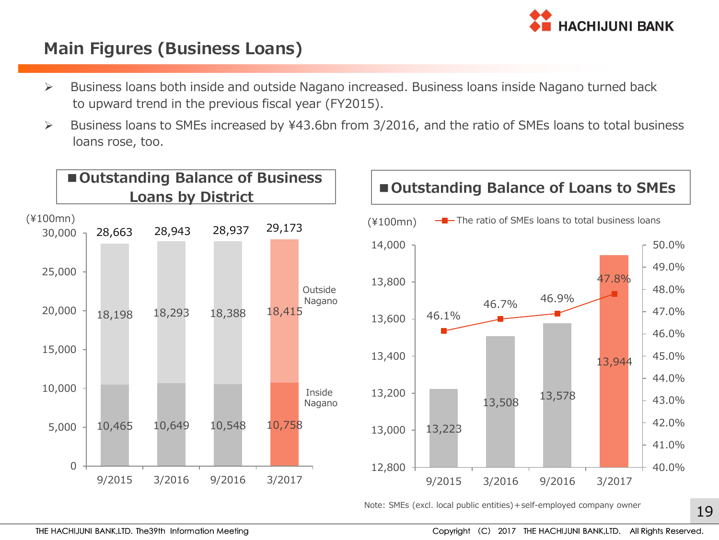

#### **Main Figures (Business Loans)**

- $\triangleright$  Business loans both inside and outside Nagano increased. Business loans inside Nagano turned back to upward trend in the previous fiscal year (FY2015).
- Business loans to SMEs increased by ¥43.6bn from 3/2016, and the ratio of SMEs loans to total business loans rose, too.



Note: SMEs (excl. local public entities)+self-employed company owner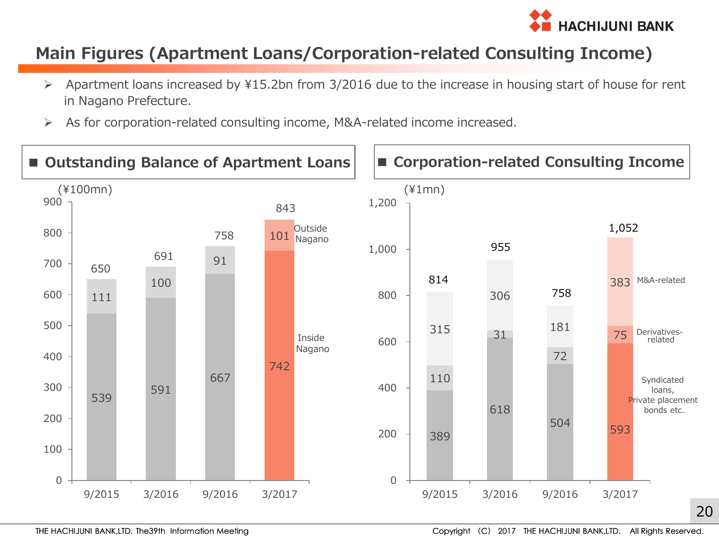

## **Main Figures (Apartment Loans/Corporation-related Consulting Income)**

- Apartment loans increased by ¥15.2bn from 3/2016 due to the increase in housing start of house for rent in Nagano Prefecture.
- As for corporation-related consulting income, M&A-related income increased.

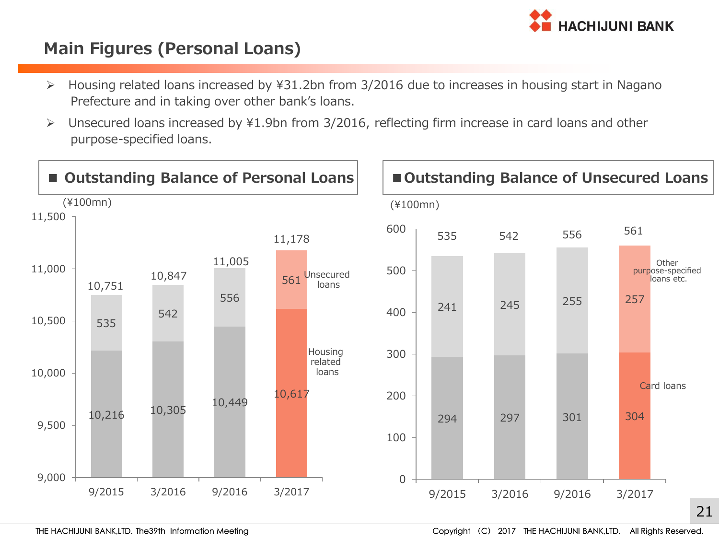

### **Main Figures (Personal Loans)**

- Housing related loans increased by ¥31.2bn from 3/2016 due to increases in housing start in Nagano Prefecture and in taking over other bank's loans.
- Unsecured loans increased by ¥1.9bn from 3/2016, reflecting firm increase in card loans and other purpose-specified loans.

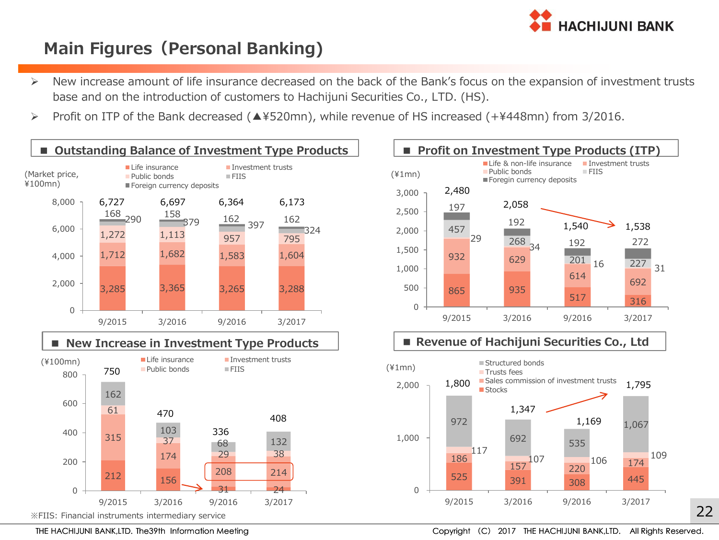

# **Main Figures(Personal Banking)**

- New increase amount of life insurance decreased on the back of the Bank's focus on the expansion of investment trusts base and on the introduction of customers to Hachijuni Securities Co., LTD. (HS).
- Profit on ITP of the Bank decreased (▲¥520mn), while revenue of HS increased (+¥448mn) from 3/2016.





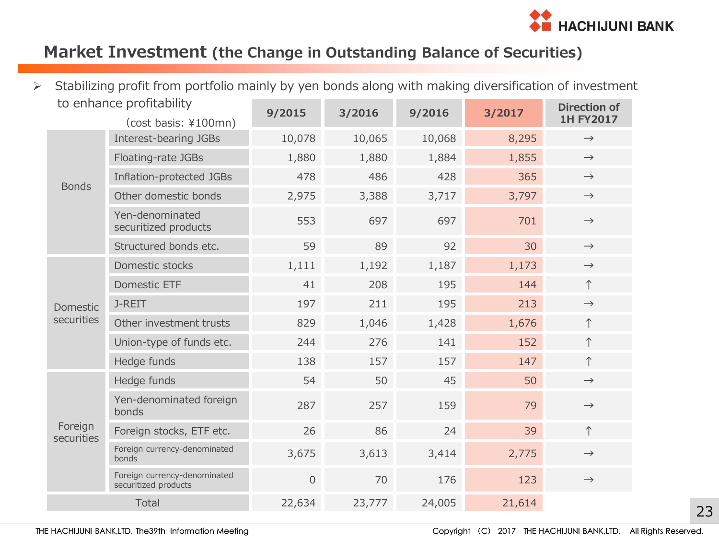

## **Market Investment (the Change in Outstanding Balance of Securities)**

| $\blacktriangleright$ | Stabilizing profit from portfolio mainly by yen bonds along with making diversification of investment |                                                      |                     |        |        |        |                                         |
|-----------------------|-------------------------------------------------------------------------------------------------------|------------------------------------------------------|---------------------|--------|--------|--------|-----------------------------------------|
|                       | to enhance profitability<br>(cost basis: ¥100mn)                                                      |                                                      | 9/2015              | 3/2016 | 9/2016 | 3/2017 | <b>Direction of</b><br><b>1H FY2017</b> |
|                       | <b>Bonds</b>                                                                                          | Interest-bearing JGBs                                | 10,078              | 10,065 | 10,068 | 8,295  | $\rightarrow$                           |
|                       |                                                                                                       | Floating-rate JGBs                                   | 1,880               | 1,880  | 1,884  | 1,855  | $\rightarrow$                           |
|                       |                                                                                                       | Inflation-protected JGBs                             | 478                 | 486    | 428    | 365    | $\rightarrow$                           |
|                       |                                                                                                       | Other domestic bonds                                 | 2,975               | 3,388  | 3,717  | 3,797  | $\rightarrow$                           |
|                       |                                                                                                       | Yen-denominated<br>securitized products              | 553                 | 697    | 697    | 701    | $\rightarrow$                           |
|                       |                                                                                                       | Structured bonds etc.                                | 59                  | 89     | 92     | 30     | $\rightarrow$                           |
|                       | Domestic<br>securities                                                                                | Domestic stocks                                      | 1,111               | 1,192  | 1,187  | 1,173  | $\rightarrow$                           |
|                       |                                                                                                       | Domestic ETF                                         | 41                  | 208    | 195    | 144    | $\uparrow$                              |
|                       |                                                                                                       | J-REIT                                               | 197                 | 211    | 195    | 213    | $\rightarrow$                           |
|                       |                                                                                                       | Other investment trusts                              | 829                 | 1,046  | 1,428  | 1,676  | $\uparrow$                              |
|                       |                                                                                                       | Union-type of funds etc.                             | 244                 | 276    | 141    | 152    | $\uparrow$                              |
|                       |                                                                                                       | Hedge funds                                          | 138                 | 157    | 157    | 147    | $\uparrow$                              |
|                       | Foreign<br>securities                                                                                 | Hedge funds                                          | 54                  | 50     | 45     | 50     | $\rightarrow$                           |
|                       |                                                                                                       | Yen-denominated foreign<br>bonds                     | 287                 | 257    | 159    | 79     | $\rightarrow$                           |
|                       |                                                                                                       | Foreign stocks, ETF etc.                             | 26                  | 86     | 24     | 39     | $\uparrow$                              |
|                       |                                                                                                       | Foreign currency-denominated<br>bonds                | 3,675               | 3,613  | 3,414  | 2,775  | $\rightarrow$                           |
|                       |                                                                                                       | Foreign currency-denominated<br>securitized products | $\mathsf{O}\xspace$ | 70     | 176    | 123    | $\rightarrow$                           |
|                       | Total                                                                                                 |                                                      | 22,634              | 23,777 | 24,005 | 21,614 |                                         |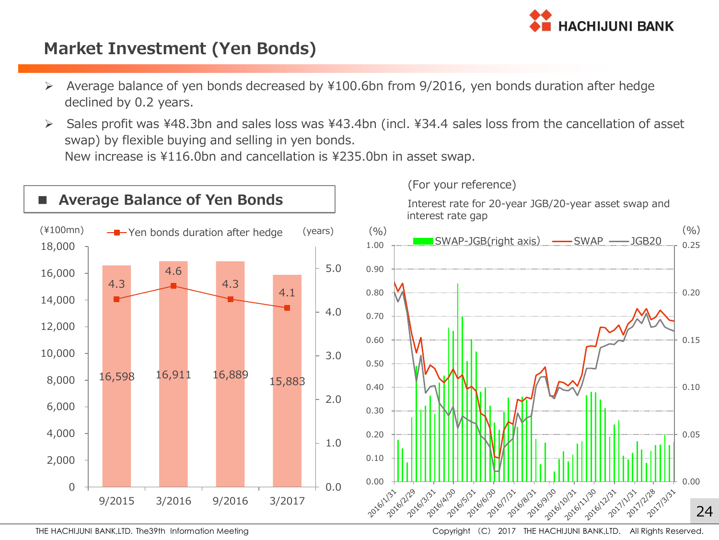

#### **Market Investment (Yen Bonds)**

- Average balance of yen bonds decreased by ¥100.6bn from 9/2016, yen bonds duration after hedge declined by 0.2 years.
- Sales profit was ¥48.3bn and sales loss was ¥43.4bn (incl. ¥34.4 sales loss from the cancellation of asset swap) by flexible buying and selling in yen bonds. New increase is ¥116.0bn and cancellation is ¥235.0bn in asset swap.